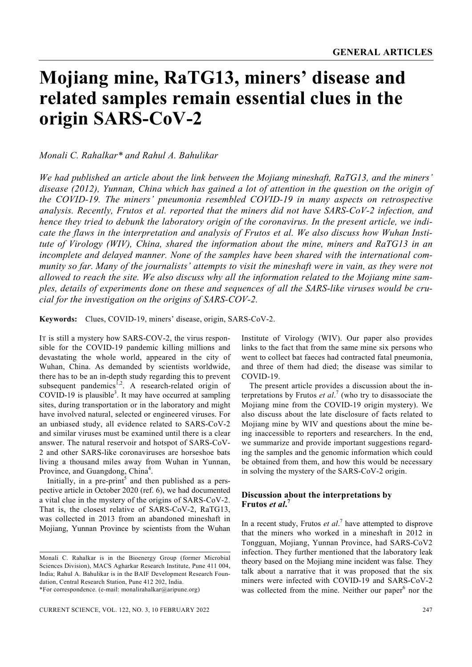# **Mojiang mine, RaTG13, miners' disease and related samples remain essential clues in the origin SARS-CoV-2**

*Monali C. Rahalkar\* and Rahul A. Bahulikar*

*We had published an article about the link between the Mojiang mineshaft, RaTG13, and the miners' disease (2012), Yunnan, China which has gained a lot of attention in the question on the origin of the COVID-19. The miners' pneumonia resembled COVID-19 in many aspects on retrospective analysis. Recently, Frutos et al. reported that the miners did not have SARS-CoV-2 infection, and hence they tried to debunk the laboratory origin of the coronavirus. In the present article, we indicate the flaws in the interpretation and analysis of Frutos et al. We also discuss how Wuhan Institute of Virology (WIV), China, shared the information about the mine, miners and RaTG13 in an incomplete and delayed manner. None of the samples have been shared with the international community so far. Many of the journalists' attempts to visit the mineshaft were in vain, as they were not allowed to reach the site. We also discuss why all the information related to the Mojiang mine samples, details of experiments done on these and sequences of all the SARS-like viruses would be crucial for the investigation on the origins of SARS-COV-2.* 

**Keywords:** Clues, COVID-19, miners' disease, origin, SARS-CoV-2.

IT is still a mystery how SARS-COV-2, the virus responsible for the COVID-19 pandemic killing millions and devastating the whole world, appeared in the city of Wuhan, China. As demanded by scientists worldwide, there has to be an in-depth study regarding this to prevent subsequent pandemics<sup>1,2</sup>. A research-related origin of COVID-19 is plausible<sup>3</sup>. It may have occurred at sampling sites, during transportation or in the laboratory and might have involved natural, selected or engineered viruses. For an unbiased study, all evidence related to SARS-CoV-2 and similar viruses must be examined until there is a clear answer. The natural reservoir and hotspot of SARS-CoV-2 and other SARS-like coronaviruses are horseshoe bats living a thousand miles away from Wuhan in Yunnan, Province, and Guangdong, China<sup>4</sup>.

Initially, in a pre-print<sup>5</sup> and then published as a perspective article in October 2020 (ref. 6), we had documented a vital clue in the mystery of the origins of SARS-CoV-2. That is, the closest relative of SARS-CoV-2, RaTG13, was collected in 2013 from an abandoned mineshaft in Mojiang, Yunnan Province by scientists from the Wuhan Institute of Virology (WIV). Our paper also provides links to the fact that from the same mine six persons who went to collect bat faeces had contracted fatal pneumonia, and three of them had died; the disease was similar to COVID-19.

 The present article provides a discussion about the interpretations by Frutos *et al*. 7 (who try to disassociate the Mojiang mine from the COVID-19 origin mystery). We also discuss about the late disclosure of facts related to Mojiang mine by WIV and questions about the mine being inaccessible to reporters and researchers. In the end, we summarize and provide important suggestions regarding the samples and the genomic information which could be obtained from them, and how this would be necessary in solving the mystery of the SARS-CoV-2 origin.

## **Discussion about the interpretations by Frutos** *et al***. 7**

In a recent study, Frutos *et al*. 7 have attempted to disprove that the miners who worked in a mineshaft in 2012 in Tongguan, Mojiang, Yunnan Province, had SARS-CoV2 infection. They further mentioned that the laboratory leak theory based on the Mojiang mine incident was false. They talk about a narrative that it was proposed that the six miners were infected with COVID-19 and SARS-CoV-2 was collected from the mine. Neither our paper<sup>6</sup> nor the

Monali C. Rahalkar is in the Bioenergy Group (former Microbial Sciences Division), MACS Agharkar Research Institute, Pune 411 004, India; Rahul A. Bahulikar is in the BAIF Development Research Foundation, Central Research Station, Pune 412 202, India.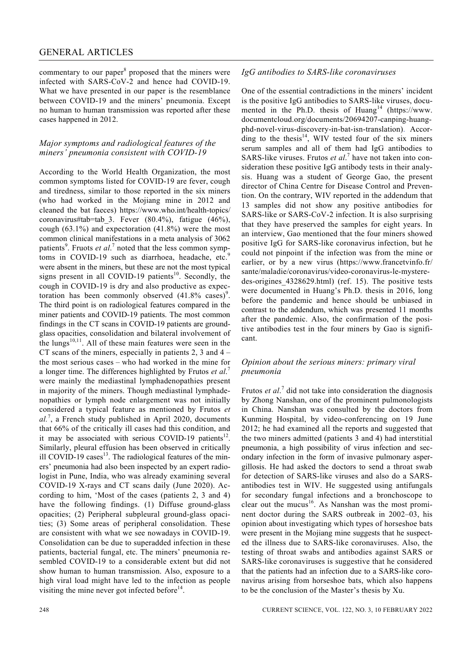## GENERAL ARTICLES

commentary to our paper<sup>8</sup> proposed that the miners were infected with SARS-CoV-2 and hence had COVID-19. What we have presented in our paper is the resemblance between COVID-19 and the miners' pneumonia. Except no human to human transmission was reported after these cases happened in 2012.

## *Major symptoms and radiological features of the miners' pneumonia consistent with COVID-19*

According to the World Health Organization, the most common symptoms listed for COVID-19 are fever, cough and tiredness, similar to those reported in the six miners (who had worked in the Mojiang mine in 2012 and cleaned the bat faeces) https://www.who.int/health-topics/ coronavirus#tab=tab\_3. Fever (80.4%), fatigue (46%), cough (63.1%) and expectoration (41.8%) were the most common clinical manifestations in a meta analysis of 3062 patients<sup>9</sup>. Fruots *et al.*<sup>7</sup> noted that the less common symptoms in COVID-19 such as diarrhoea, headache, etc.<sup>9</sup> were absent in the miners, but these are not the most typical signs present in all COVID-19 patients<sup>10</sup>. Secondly, the cough in COVID-19 is dry and also productive as expectoration has been commonly observed  $(41.8\% \text{ cases})^9$ . The third point is on radiological features compared in the miner patients and COVID-19 patients. The most common findings in the CT scans in COVID-19 patients are groundglass opacities, consolidation and bilateral involvement of the lungs $10,11$ . All of these main features were seen in the CT scans of the miners, especially in patients 2, 3 and 4 – the most serious cases – who had worked in the mine for a longer time. The differences highlighted by Frutos *et al*. 7 were mainly the mediastinal lymphadenopathies present in majority of the miners. Though mediastinal lymphadenopathies or lymph node enlargement was not initially considered a typical feature as mentioned by Frutos *et al.*<sup>7</sup> , a French study published in April 2020, documents that 66% of the critically ill cases had this condition, and it may be associated with serious COVID-19 patients<sup>12</sup>. Similarly, pleural effusion has been observed in critically ill COVID-19 cases $^{13}$ . The radiological features of the miners' pneumonia had also been inspected by an expert radiologist in Pune, India, who was already examining several COVID-19 X-rays and CT scans daily (June 2020). According to him, 'Most of the cases (patients 2, 3 and 4) have the following findings. (1) Diffuse ground-glass opacities; (2) Peripheral subpleural ground-glass opacities; (3) Some areas of peripheral consolidation. These are consistent with what we see nowadays in COVID-19. Consolidation can be due to superadded infection in these patients, bacterial fungal, etc. The miners' pneumonia resembled COVID-19 to a considerable extent but did not show human to human transmission. Also, exposure to a high viral load might have led to the infection as people visiting the mine never got infected before $14$ .

#### *IgG antibodies to SARS-like coronaviruses*

One of the essential contradictions in the miners' incident is the positive IgG antibodies to SARS-like viruses, documented in the Ph.D. thesis of Huang<sup>14</sup> (https://www. documentcloud.org/documents/20694207-canping-huangphd-novel-virus-discovery-in-bat-isn-translation). According to the thesis $14$ , WIV tested four of the six miners serum samples and all of them had IgG antibodies to SARS-like viruses. Frutos et al.<sup>7</sup> have not taken into consideration these positive IgG antibody tests in their analysis. Huang was a student of George Gao, the present director of China Centre for Disease Control and Prevention. On the contrary, WIV reported in the addendum that 13 samples did not show any positive antibodies for SARS-like or SARS-CoV-2 infection. It is also surprising that they have preserved the samples for eight years. In an interview, Gao mentioned that the four miners showed positive IgG for SARS-like coronavirus infection, but he could not pinpoint if the infection was from the mine or earlier, or by a new virus (https://www.francetvinfo.fr/ sante/maladie/coronavirus/video-coronavirus-le-mysteredes-origines\_4328629.html) (ref. 15). The positive tests were documented in Huang's Ph.D. thesis in 2016, long before the pandemic and hence should be unbiased in contrast to the addendum, which was presented 11 months after the pandemic. Also, the confirmation of the positive antibodies test in the four miners by Gao is significant.

### *Opinion about the serious miners: primary viral pneumonia*

Frutos *et al*.<sup>7</sup> did not take into consideration the diagnosis by Zhong Nanshan, one of the prominent pulmonologists in China. Nanshan was consulted by the doctors from Kunming Hospital, by video-conferencing on 19 June 2012; he had examined all the reports and suggested that the two miners admitted (patients 3 and 4) had interstitial pneumonia, a high possibility of virus infection and secondary infection in the form of invasive pulmonary aspergillosis. He had asked the doctors to send a throat swab for detection of SARS-like viruses and also do a SARSantibodies test in WIV. He suggested using antifungals for secondary fungal infections and a bronchoscope to clear out the mucus<sup>16</sup>. As Nanshan was the most prominent doctor during the SARS outbreak in 2002–03, his opinion about investigating which types of horseshoe bats were present in the Mojiang mine suggests that he suspected the illness due to SARS-like coronaviruses. Also, the testing of throat swabs and antibodies against SARS or SARS-like coronaviruses is suggestive that he considered that the patients had an infection due to a SARS-like coronavirus arising from horseshoe bats, which also happens to be the conclusion of the Master's thesis by Xu.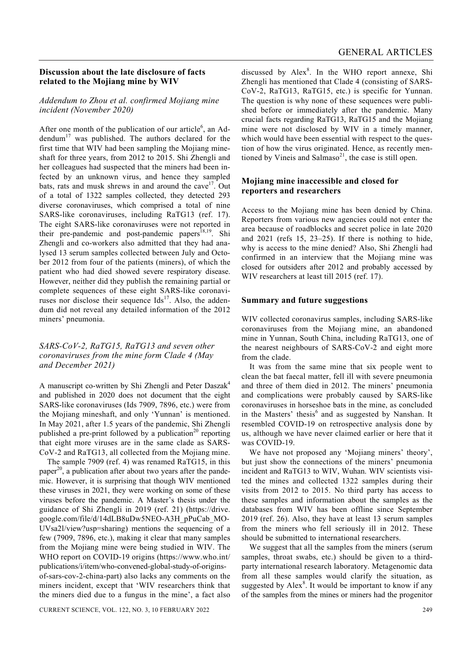#### **Discussion about the late disclosure of facts related to the Mojiang mine by WIV**

## *Addendum to Zhou et al. confirmed Mojiang mine incident (November 2020)*

After one month of the publication of our article<sup>6</sup>, an Addendum $17$  was published. The authors declared for the first time that WIV had been sampling the Mojiang mineshaft for three years, from 2012 to 2015. Shi Zhengli and her colleagues had suspected that the miners had been infected by an unknown virus, and hence they sampled bats, rats and musk shrews in and around the cave $17$ . Out of a total of 1322 samples collected, they detected 293 diverse coronaviruses, which comprised a total of nine SARS-like coronaviruses, including RaTG13 (ref. 17). The eight SARS-like coronaviruses were not reported in their pre-pandemic and post-pandemic papers<sup>18,19</sup>. Shi Zhengli and co-workers also admitted that they had analysed 13 serum samples collected between July and October 2012 from four of the patients (miners), of which the patient who had died showed severe respiratory disease. However, neither did they publish the remaining partial or complete sequences of these eight SARS-like coronaviruses nor disclose their sequence  $\text{Ids}^{17}$ . Also, the addendum did not reveal any detailed information of the 2012 miners' pneumonia.

*SARS-CoV-2, RaTG15, RaTG13 and seven other coronaviruses from the mine form Clade 4 (May and December 2021)* 

A manuscript co-written by Shi Zhengli and Peter Daszak<sup>4</sup> and published in 2020 does not document that the eight SARS-like coronaviruses (Ids 7909, 7896, etc.) were from the Mojiang mineshaft, and only 'Yunnan' is mentioned. In May 2021, after 1.5 years of the pandemic, Shi Zhengli published a pre-print followed by a publication<sup>20</sup> reporting that eight more viruses are in the same clade as SARS-CoV-2 and RaTG13, all collected from the Mojiang mine.

 The sample 7909 (ref. 4) was renamed RaTG15, in this paper $^{20}$ , a publication after about two years after the pandemic. However, it is surprising that though WIV mentioned these viruses in 2021, they were working on some of these viruses before the pandemic. A Master's thesis under the guidance of Shi Zhengli in 2019 (ref. 21) (https://drive. google.com/file/d/14dLB8uDw5NEO-A3H\_pPuCab\_MO-UVsa2l/view?usp=sharing) mentions the sequencing of a few (7909, 7896, etc.), making it clear that many samples from the Mojiang mine were being studied in WIV. The WHO report on COVID-19 origins (https://www.who.int/ publications/i/item/who-convened-global-study-of-originsof-sars-cov-2-china-part) also lacks any comments on the miners incident, except that 'WIV researchers think that the miners died due to a fungus in the mine', a fact also

discussed by Alex<sup>8</sup>. In the WHO report annexe, Shi Zhengli has mentioned that Clade 4 (consisting of SARS-CoV-2, RaTG13, RaTG15, etc.) is specific for Yunnan. The question is why none of these sequences were published before or immediately after the pandemic. Many crucial facts regarding RaTG13, RaTG15 and the Mojiang mine were not disclosed by WIV in a timely manner, which would have been essential with respect to the question of how the virus originated. Hence, as recently mentioned by Vineis and Salmaso<sup>21</sup>, the case is still open.

## **Mojiang mine inaccessible and closed for reporters and researchers**

Access to the Mojiang mine has been denied by China. Reporters from various new agencies could not enter the area because of roadblocks and secret police in late 2020 and 2021 (refs 15, 23–25). If there is nothing to hide, why is access to the mine denied? Also, Shi Zhengli had confirmed in an interview that the Mojiang mine was closed for outsiders after 2012 and probably accessed by WIV researchers at least till 2015 (ref. 17).

### **Summary and future suggestions**

WIV collected coronavirus samples, including SARS-like coronaviruses from the Mojiang mine, an abandoned mine in Yunnan, South China, including RaTG13, one of the nearest neighbours of SARS-CoV-2 and eight more from the clade.

 It was from the same mine that six people went to clean the bat faecal matter, fell ill with severe pneumonia and three of them died in 2012. The miners' pneumonia and complications were probably caused by SARS-like coronaviruses in horseshoe bats in the mine, as concluded in the Masters' thesis<sup>6</sup> and as suggested by Nanshan. It resembled COVID-19 on retrospective analysis done by us, although we have never claimed earlier or here that it was COVID-19.

 We have not proposed any 'Mojiang miners' theory', but just show the connections of the miners' pneumonia incident and RaTG13 to WIV, Wuhan. WIV scientists visited the mines and collected 1322 samples during their visits from 2012 to 2015. No third party has access to these samples and information about the samples as the databases from WIV has been offline since September 2019 (ref. 26). Also, they have at least 13 serum samples from the miners who fell seriously ill in 2012. These should be submitted to international researchers.

 We suggest that all the samples from the miners (serum samples, throat swabs, etc.) should be given to a thirdparty international research laboratory. Metagenomic data from all these samples would clarify the situation, as suggested by  $Alex^8$ . It would be important to know if any of the samples from the mines or miners had the progenitor